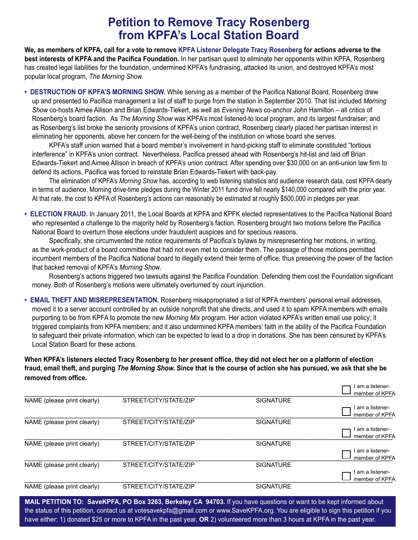## **Petition to Remove Tracy Rosenberg from KPFA's Local Station Board**

**We, as members of KPFA, call for a vote to remove KPFA Listener Delegate Tracy Rosenberg for actions adverse to the best interests of KPFA and the Pacifica Foundation.** In her partisan quest to eliminate her opponents within KPFA, Rosenberg has created legal liabilities for the foundation, undermined KPFA's fundraising, attacked its union, and destroyed KPFA's most popular local program, *The Morning Show.*

**• DESTRUCTION OF KPFA'S MORNING SHOW.** While serving as a member of the Pacifica National Board, Rosenberg drew up and presented to Pacifica management a list of staff to purge from the station in September 2010. That list included *Morning Show* co-hosts Aimee Allison and Brian Edwards-Tiekert, as well as *Evening News* co-anchor John Hamilton – all critics of Rosenberg's board faction. As *The Morning Show* was KPFA's most listened-to local program, and its largest fundraiser; and as Rosenberg's list broke the seniority provisions of KPFA's union contract, Rosenberg clearly placed her partisan interest in eliminating her opponents, above her concern for the well-being of the institution on whose board she serves.

KPFA's staff union warned that a board member's involvement in hand-picking staff to eliminate constituted "tortious interference" in KPFA's union contract. Nevertheless, Pacifica pressed ahead with Rosenberg's hit-list and laid off Brian Edwards-Tiekert and Aimee Allison in breach of KPFA's union contract. After spending over \$30,000 on an anti-union law firm to defend its actions, Pacifica was forced to reinstate Brian Edwards-Tiekert with back-pay.

The elimination of KPFA's *Morning Show* has, according to web listening statistics and audience research data, cost KPFA dearly in terms of audience. Morning drive-time pledges during the Winter 2011 fund drive fell nearly \$140,000 compared with the prior year. At that rate, the cost to KPFA of Rosenberg's actions can reasonably be estimated at roughly \$500,000 in pledges per year.

**• ELECTION FRAUD.** In January 2011, the Local Boards at KPFA and KPFK elected representatives to the Pacifica National Board who represented a challenge to the majority held by Rosenberg's faction. Rosenberg brought two motions before the Pacifica National Board to overturn those elections under fraudulent auspices and for specious reasons.

Specifically, she circumvented the notice requirements of Pacifica's bylaws by misrepresenting her motions, in writing, as the work-product of a board committee that had not even met to consider them. The passage of those motions permitted incumbent members of the Pacifica National board to illegally extend their terms of office, thus preserving the power of the faction that backed removal of KPFA's *Morning Show*.

Rosenberg's actions triggered two lawsuits against the Pacifica Foundation. Defending them cost the Foundation significant money. Both of Rosenberg's motions were ultimately overturned by court injunction.

**• EMAIL THEFT AND MISREPRESENTATION.** Rosenberg misappropriated a list of KPFA members' personal email addresses, moved it to a server account controlled by an outside nonprofit that she directs, and used it to spam KPFA members with emails purporting to be from KPFA to promote the new *Morning Mix* program. Her action violated KPFA's written email use policy; it triggered complaints from KPFA members; and it also undermined KPFA members' faith in the ability of the Pacifica Foundation to safeguard their private information, which can be expected to lead to a drop in donations. She has been censured by KPFA's Local Station Board for these actions.

**When KPFA's listeners elected Tracy Rosenberg to her present office, they did not elect her on a platform of election fraud, email theft, and purging** *The Morning Show.* **Since that is the course of action she has pursued, we ask that she be removed from office.** 

|                             |                       |                  | am a listener- |
|-----------------------------|-----------------------|------------------|----------------|
|                             |                       |                  | member of KPFA |
| NAME (please print clearly) | STREET/CITY/STATE/ZIP | <b>SIGNATURE</b> |                |
|                             |                       |                  | am a listener- |
|                             |                       |                  | member of KPFA |
| NAME (please print clearly) | STREET/CITY/STATE/ZIP | <b>SIGNATURE</b> |                |
|                             |                       |                  | am a listener- |
|                             |                       |                  | member of KPFA |
| NAME (please print clearly) | STREET/CITY/STATE/ZIP | <b>SIGNATURE</b> |                |
|                             |                       |                  | am a listener- |
|                             |                       |                  | member of KPFA |
| NAME (please print clearly) | STREET/CITY/STATE/ZIP | <b>SIGNATURE</b> |                |
|                             |                       |                  | am a listener- |
|                             |                       |                  | member of KPFA |
| NAME (please print clearly) | STREET/CITY/STATE/ZIP | <b>SIGNATURE</b> |                |
|                             |                       |                  |                |

**MAIL PETITION TO: SaveKPFA, PO Box 3263, Berkeley CA 94703.** If you have questions or want to be kept informed about the status of this petition, contact us at votesavekpfa@gmail.com or www.SaveKPFA.org. You are eligible to sign this petition if you have either: 1) donated \$25 or more to KPFA in the past year, **OR** 2) volunteered more than 3 hours at KPFA in the past year.